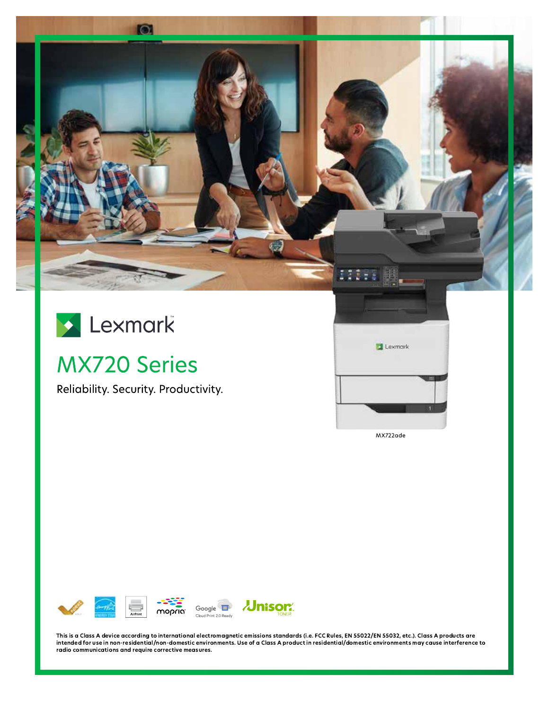



# **MX720 Series**

Reliability. Security. Productivity.



MX722ade



This is a Class A device according to international electromagnetic emissions standards (i.e. FCC Rules, EN 55022/EN 55032, etc.). Class A products are intended for use in non-residential/non-domestic environments. Use of a Class A product in residential/domestic environments may cause interference to radio communications and require corrective measures.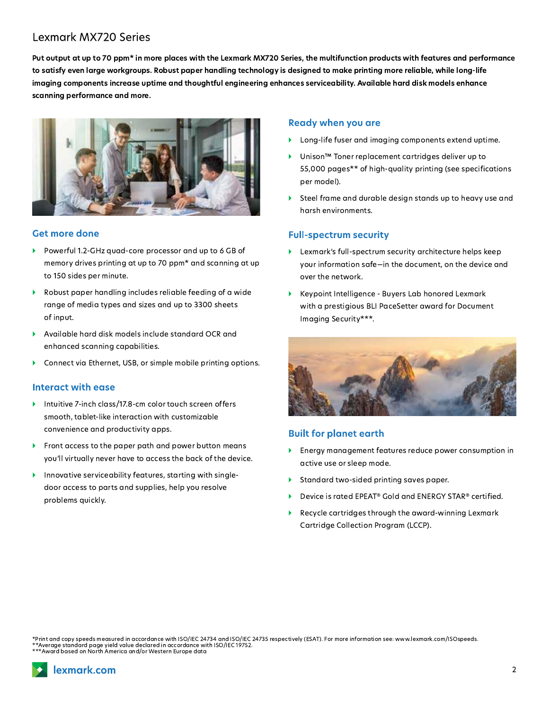## **Lexmark MX720 Series**

Put output at up to 70 ppm\* in more places with the Lexmark MX720 Series, the multifunction products with features and performance to satisfy even large workgroups. Robust paper handling technology is designed to make printing more reliable, while long-life imaging components increase uptime and thoughtful engineering enhances serviceability. Available hard disk models enhance scanning performance and more.



#### **Get more done**

- Powerful 1.2-GHz quad-core processor and up to 6 GB of memory drives printing at up to 70 ppm\* and scanning at up to 150 sides per minute.
- Robust paper handling includes reliable feeding of a wide range of media types and sizes and up to 3300 sheets of input.
- Available hard disk models include standard OCR and enhanced scanning capabilities.
- Connect via Ethernet, USB, or simple mobile printing options.

#### Interact with ease

- Intuitive 7-inch class/17.8-cm color touch screen offers smooth, tablet-like interaction with customizable convenience and productivity apps.
- Front access to the paper path and power button means you'll virtually never have to access the back of the device.
- Innovative serviceability features, starting with singledoor access to parts and supplies, help you resolve problems quickly.

#### **Ready when you are**

- Long-life fuser and imaging components extend uptime.
- Unison™ Toner replacement cartridges deliver up to 55,000 pages\*\* of high-quality printing (see specifications per model).
- Steel frame and durable design stands up to heavy use and harsh environments.

#### **Full-spectrum security**

- > Lexmark's full-spectrum security architecture helps keep your information safe-in the document, on the device and over the network.
- Keypoint Intelligence Buyers Lab honored Lexmark with a prestigious BLI PaceSetter award for Document Imaging Security\*\*\*.



#### **Built for planet earth**

- Energy management features reduce power consumption in active use or sleep mode.
- Standard two-sided printing saves paper. Þ
- Device is rated EPEAT<sup>®</sup> Gold and ENERGY STAR<sup>®</sup> certified. ¥
- Recycle cartridges through the award-winning Lexmark Cartridge Collection Program (LCCP).

Print and copy speeds measured in accordance with ISO/IEC 24734 and ISO/IEC 24735 respectively (ESAT). For more information see: www.lexmark.com/ISOspeeds. \*\*Average standard page yield value declared in accordance with ISO/IEC 19752.<br>\*\*Average standard page yield value declared in accordance with ISO/IEC 19752.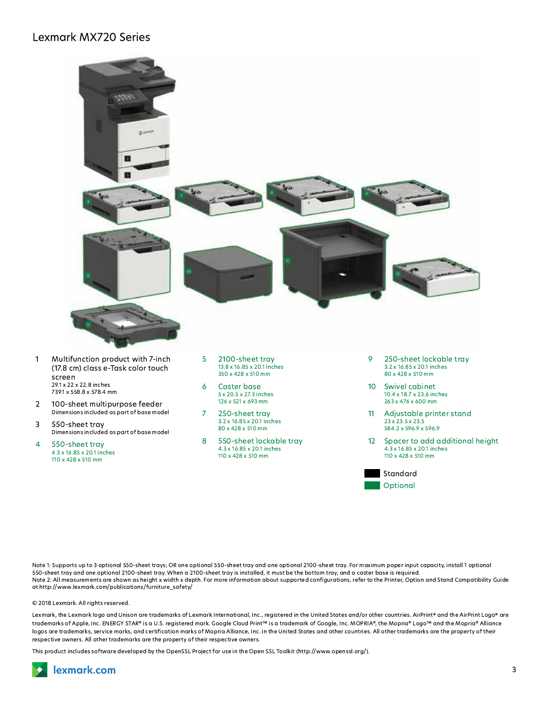### **Lexmark MX720 Series**



- $\mathbf{1}$ (17.8 cm) class e-Task color touch screen 29.1 x 22 x 22.8 inches 739.1 x 558.8 x 578.4 mm
- $\overline{2}$ 100-sheet multipurpose feeder Dimensions included as part of base model
- 3 550-sheet tray Dimensions included as part of base model
- 4 550-sheet tray 4.3 x 16.85 x 20.1 inches 110 x 428 x 510 mm
- 13.8 x 16.85 x 20.1 inches 350 x 428 x 510 mm
- Caster base 6 5 x 20.5 x 27.3 inches 126 x 521 x 693 mm
- $\overline{7}$ 250-sheet tray 3.2 x 16.85 x 20.1 inches 80 x 428 x 510 mm
- 8 550-sheet lockable trav 4.3 x 16.85 x 20.1 inches 110 x 428 x 510 mm
- 3.2 x 16.85 x 20.1 inches 80 x 428 x 510 mm
- 10 Swivel cabinet 10.4 x 18.7 x 23.6 inches 263 x 476 x 600 mm
- $11$ Adjustable printer stand  $23 \times 23.5 \times 23.5$ 584.2 x 596.9 x 596.9
- 12 Spacer to add additional height 4.3 x 16.85 x 20.1 inches 110 x 428 x 510 mm



Note 1: Supports up to 3 optional 550-sheet trays; OR one optional 550-sheet tray and one optional 2100-sheet tray. For maximum paper input capacity, install 1 optional 550-sheet tray and one optional 2100-sheet tray. When a 2100-sheet tray is installed, it must be the bottom tray, and a caster base is required. Note 2: All measurements are shown as height x width x depth. For more information about supported configurations, refer to the Printer, Option and Stand Compatibility Guide at http://www.lexmark.com/publications/furniture\_safety/

© 2018 Lexmark. All rights reserved.

Lexmark, the Lexmark logo and Unison are trademarks of Lexmark International, Inc., registered in the United States and/or other countries. AirPrint® and the AirPrint Logo® are trademarks of Apple, Inc. ENERGY STAR® is a U.S. registered mark. Google Cloud Print™ is a trademark of Google, Inc. MOPRIA®, the Mopria® Logo™ and the Mopria® Alliance logos are trademarks, service marks, and certification marks of Mopria Alliance, Inc. in the United States and other countries. All other trademarks are the property of their respective owners. All other trademarks are the property of their respective owners.

This product includes software developed by the OpenSSL Project for use in the Open SSL Toolkit (http://www.openssl.org/).